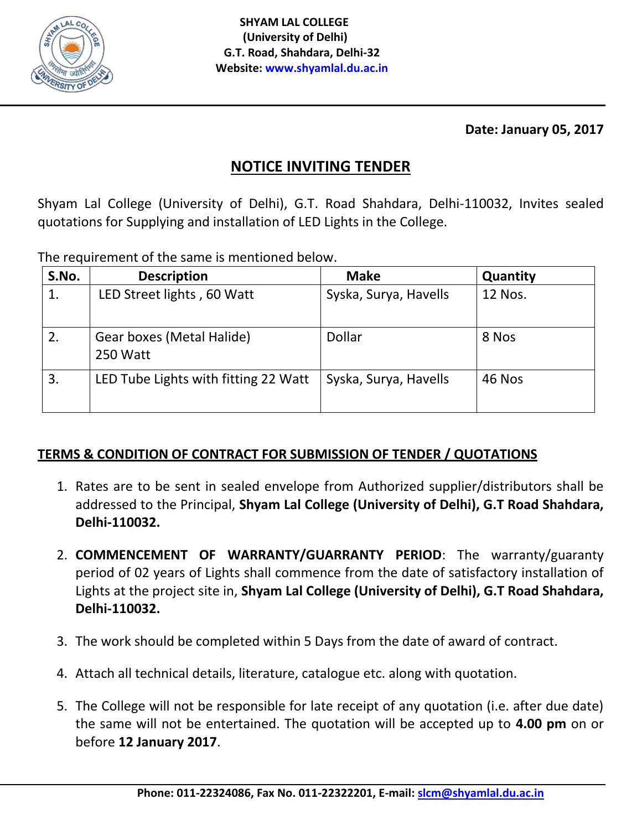

**Date: January 05, 2017**

## **NOTICE INVITING TENDER**

Shyam Lal College (University of Delhi), G.T. Road Shahdara, Delhi-110032, Invites sealed quotations for Supplying and installation of LED Lights in the College.

The requirement of the same is mentioned below.

| S.No. | <b>Description</b>                    | <b>Make</b>           | Quantity |
|-------|---------------------------------------|-----------------------|----------|
| 1.    | LED Street lights, 60 Watt            | Syska, Surya, Havells | 12 Nos.  |
| 2.    | Gear boxes (Metal Halide)<br>250 Watt | Dollar                | 8 Nos    |
| 3.    | LED Tube Lights with fitting 22 Watt  | Syska, Surya, Havells | 46 Nos   |

## **TERMS & CONDITION OF CONTRACT FOR SUBMISSION OF TENDER / QUOTATIONS**

- 1. Rates are to be sent in sealed envelope from Authorized supplier/distributors shall be addressed to the Principal, **Shyam Lal College (University of Delhi), G.T Road Shahdara, Delhi-110032.**
- 2. **COMMENCEMENT OF WARRANTY/GUARRANTY PERIOD**: The warranty/guaranty period of 02 years of Lights shall commence from the date of satisfactory installation of Lights at the project site in, **Shyam Lal College (University of Delhi), G.T Road Shahdara, Delhi-110032.**
- 3. The work should be completed within 5 Days from the date of award of contract.
- 4. Attach all technical details, literature, catalogue etc. along with quotation.
- 5. The College will not be responsible for late receipt of any quotation (i.e. after due date) the same will not be entertained. The quotation will be accepted up to **4.00 pm** on or before **12 January 2017**.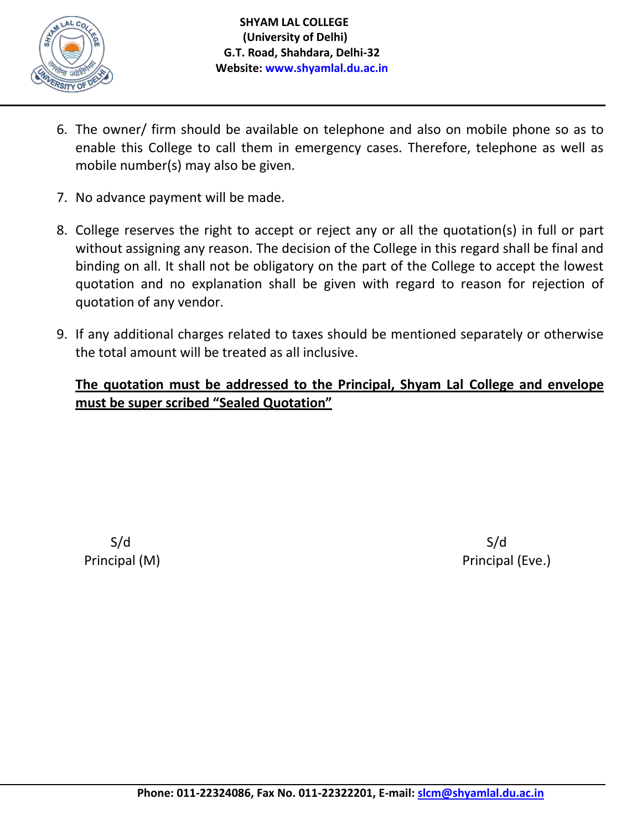

- 6. The owner/ firm should be available on telephone and also on mobile phone so as to enable this College to call them in emergency cases. Therefore, telephone as well as mobile number(s) may also be given.
- 7. No advance payment will be made.
- 8. College reserves the right to accept or reject any or all the quotation(s) in full or part without assigning any reason. The decision of the College in this regard shall be final and binding on all. It shall not be obligatory on the part of the College to accept the lowest quotation and no explanation shall be given with regard to reason for rejection of quotation of any vendor.
- 9. If any additional charges related to taxes should be mentioned separately or otherwise the total amount will be treated as all inclusive.

## **The quotation must be addressed to the Principal, Shyam Lal College and envelope must be super scribed "Sealed Quotation"**

 $S/d$  S/d

**Principal (M)** Principal (Eve.)